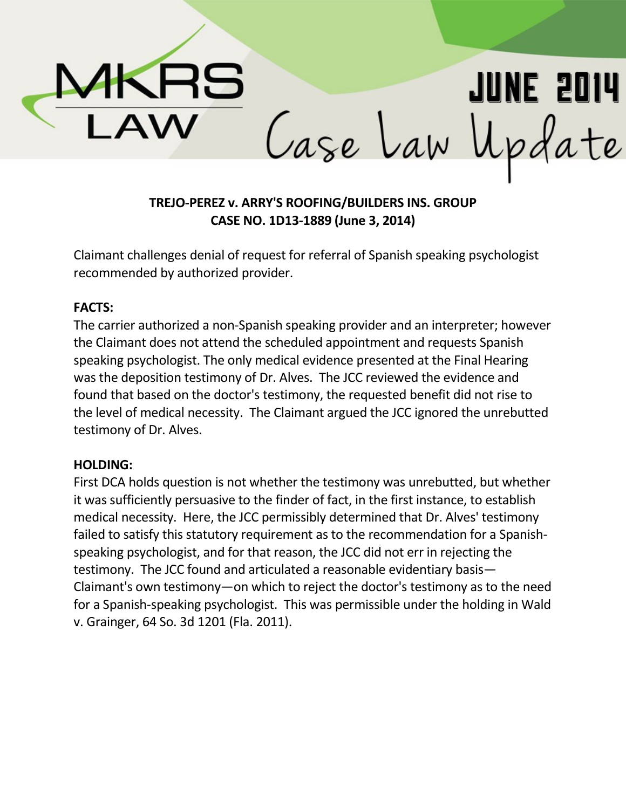

# **TREJO-PEREZ v. ARRY'S ROOFING/BUILDERS INS. GROUP CASE NO. 1D13-1889 (June 3, 2014)**

Claimant challenges denial of request for referral of Spanish speaking psychologist recommended by authorized provider.

#### **FACTS:**

The carrier authorized a non-Spanish speaking provider and an interpreter; however the Claimant does not attend the scheduled appointment and requests Spanish speaking psychologist. The only medical evidence presented at the Final Hearing was the deposition testimony of Dr. Alves. The JCC reviewed the evidence and found that based on the doctor's testimony, the requested benefit did not rise to the level of medical necessity. The Claimant argued the JCC ignored the unrebutted testimony of Dr. Alves.

### **HOLDING:**

First DCA holds question is not whether the testimony was unrebutted, but whether it was sufficiently persuasive to the finder of fact, in the first instance, to establish medical necessity. Here, the JCC permissibly determined that Dr. Alves' testimony failed to satisfy this statutory requirement as to the recommendation for a Spanishspeaking psychologist, and for that reason, the JCC did not err in rejecting the testimony. The JCC found and articulated a reasonable evidentiary basis— Claimant's own testimony—on which to reject the doctor's testimony as to the need for a Spanish-speaking psychologist. This was permissible under the holding in Wald v. Grainger, 64 So. 3d 1201 (Fla. 2011).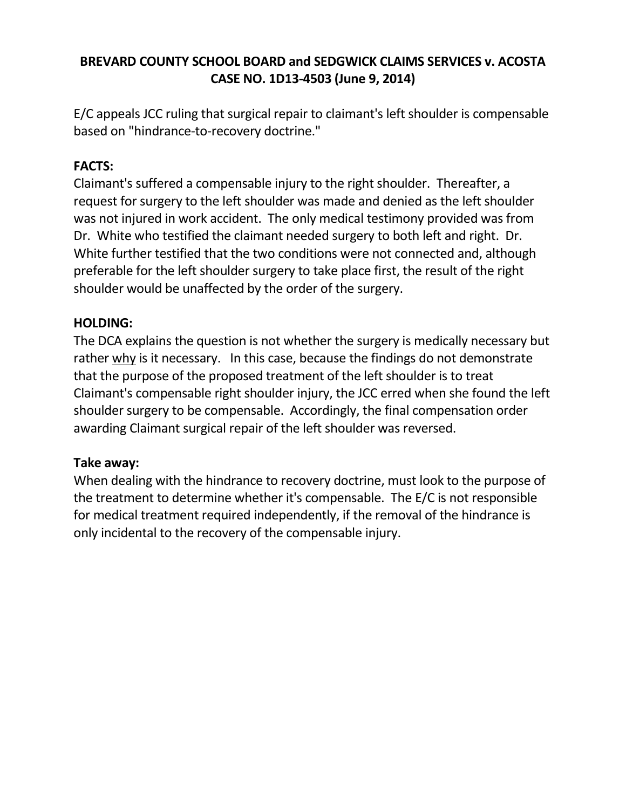## **BREVARD COUNTY SCHOOL BOARD and SEDGWICK CLAIMS SERVICES v. ACOSTA CASE NO. 1D13-4503 (June 9, 2014)**

E/C appeals JCC ruling that surgical repair to claimant's left shoulder is compensable based on "hindrance-to-recovery doctrine."

### **FACTS:**

Claimant's suffered a compensable injury to the right shoulder. Thereafter, a request for surgery to the left shoulder was made and denied as the left shoulder was not injured in work accident. The only medical testimony provided was from Dr. White who testified the claimant needed surgery to both left and right. Dr. White further testified that the two conditions were not connected and, although preferable for the left shoulder surgery to take place first, the result of the right shoulder would be unaffected by the order of the surgery.

### **HOLDING:**

The DCA explains the question is not whether the surgery is medically necessary but rather why is it necessary. In this case, because the findings do not demonstrate that the purpose of the proposed treatment of the left shoulder is to treat Claimant's compensable right shoulder injury, the JCC erred when she found the left shoulder surgery to be compensable. Accordingly, the final compensation order awarding Claimant surgical repair of the left shoulder was reversed.

### **Take away:**

When dealing with the hindrance to recovery doctrine, must look to the purpose of the treatment to determine whether it's compensable. The E/C is not responsible for medical treatment required independently, if the removal of the hindrance is only incidental to the recovery of the compensable injury.